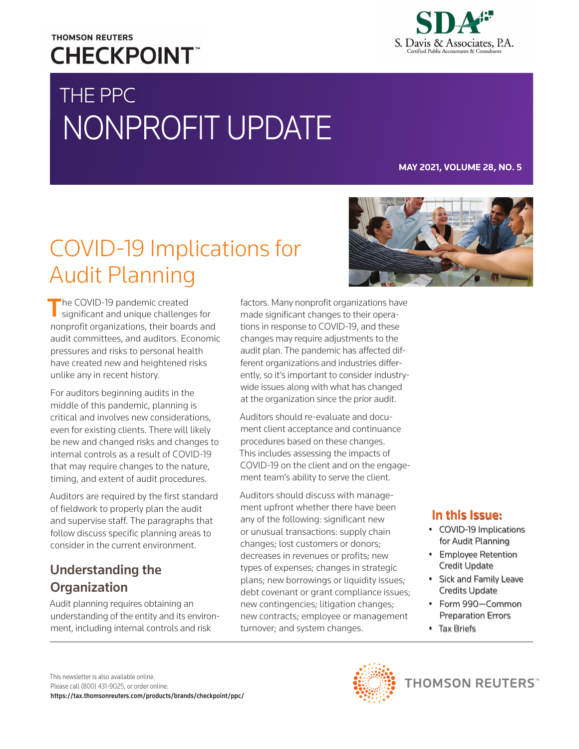## **THOMSON REUTERS CHECKPOINT**

# THE PPC NONPROFIT UPDATE

S. Davis & Associates, P.A.

#### **MAY 2021, VOLUME 28, NO. 5**

## COVID-19 Implications for Audit Planning

The COVID-19 pandemic created significant and unique challenges for nonprofit organizations, their boards and audit committees, and auditors. Economic pressures and risks to personal health have created new and heightened risks unlike any in recent history.

For auditors beginning audits in the middle of this pandemic, planning is critical and involves new considerations, even for existing clients. There will likely be new and changed risks and changes to internal controls as a result of COVID-19 that may require changes to the nature, timing, and extent of audit procedures.

Auditors are required by the first standard of fieldwork to properly plan the audit and supervise staff. The paragraphs that follow discuss specific planning areas to consider in the current environment.

### Understanding the **Organization**

Audit planning requires obtaining an understanding of the entity and its environment, including internal controls and risk

factors. Many nonprofit organizations have made significant changes to their operations in response to COVID-19, and these changes may require adjustments to the audit plan. The pandemic has affected different organizations and industries differently, so it's important to consider industrywide issues along with what has changed at the organization since the prior audit.

Auditors should re-evaluate and document client acceptance and continuance procedures based on these changes. This includes assessing the impacts of COVID-19 on the client and on the engagement team's ability to serve the client.

Auditors should discuss with management upfront whether there have been any of the following: significant new or unusual transactions: supply chain changes; lost customers or donors; decreases in revenues or profits; new types of expenses; changes in strategic plans; new borrowings or liquidity issues; debt covenant or grant compliance issues; new contingencies; litigation changes; new contracts; employee or management turnover; and system changes.



#### In this Issue:

- COVID-19 Implications for Audit Planning
- Employee Retention Credit Update
- Sick and Family Leave Credits Update
- Form 990—Common Preparation Errors
- Tax Briefs



**THOMSON REUTERS**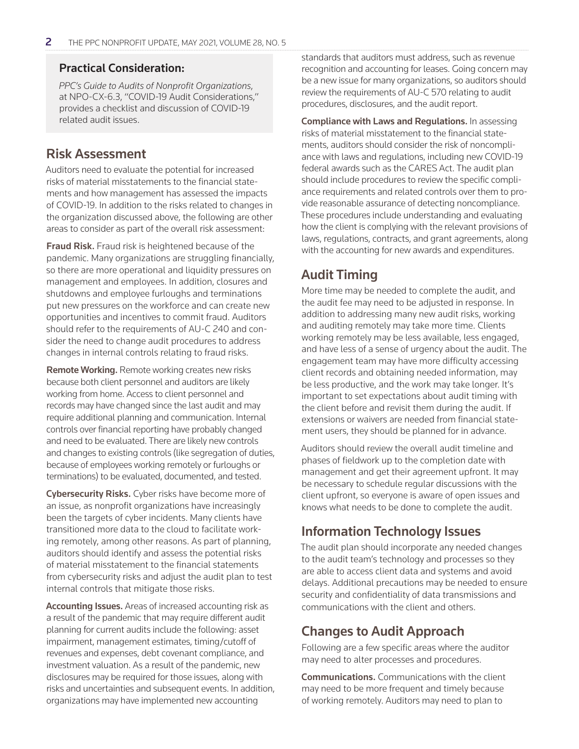#### Practical Consideration:

*PPC's Guide to Audits of Nonprofit Organizations*, at NPO-CX-6.3, "COVID-19 Audit Considerations," provides a checklist and discussion of COVID-19 related audit issues.

#### Risk Assessment

Auditors need to evaluate the potential for increased risks of material misstatements to the financial statements and how management has assessed the impacts of COVID-19. In addition to the risks related to changes in the organization discussed above, the following are other areas to consider as part of the overall risk assessment:

**Fraud Risk.** Fraud risk is heightened because of the pandemic. Many organizations are struggling financially, so there are more operational and liquidity pressures on management and employees. In addition, closures and shutdowns and employee furloughs and terminations put new pressures on the workforce and can create new opportunities and incentives to commit fraud. Auditors should refer to the requirements of AU-C 240 and consider the need to change audit procedures to address changes in internal controls relating to fraud risks.

Remote Working. Remote working creates new risks because both client personnel and auditors are likely working from home. Access to client personnel and records may have changed since the last audit and may require additional planning and communication. Internal controls over financial reporting have probably changed and need to be evaluated. There are likely new controls and changes to existing controls (like segregation of duties, because of employees working remotely or furloughs or terminations) to be evaluated, documented, and tested.

Cybersecurity Risks. Cyber risks have become more of an issue, as nonprofit organizations have increasingly been the targets of cyber incidents. Many clients have transitioned more data to the cloud to facilitate working remotely, among other reasons. As part of planning, auditors should identify and assess the potential risks of material misstatement to the financial statements from cybersecurity risks and adjust the audit plan to test internal controls that mitigate those risks.

Accounting Issues. Areas of increased accounting risk as a result of the pandemic that may require different audit planning for current audits include the following: asset impairment, management estimates, timing/cutoff of revenues and expenses, debt covenant compliance, and investment valuation. As a result of the pandemic, new disclosures may be required for those issues, along with risks and uncertainties and subsequent events. In addition, organizations may have implemented new accounting

standards that auditors must address, such as revenue recognition and accounting for leases. Going concern may be a new issue for many organizations, so auditors should review the requirements of AU-C 570 relating to audit procedures, disclosures, and the audit report.

Compliance with Laws and Regulations. In assessing risks of material misstatement to the financial statements, auditors should consider the risk of noncompliance with laws and regulations, including new COVID-19 federal awards such as the CARES Act. The audit plan should include procedures to review the specific compliance requirements and related controls over them to provide reasonable assurance of detecting noncompliance. These procedures include understanding and evaluating how the client is complying with the relevant provisions of laws, regulations, contracts, and grant agreements, along with the accounting for new awards and expenditures.

### Audit Timing

More time may be needed to complete the audit, and the audit fee may need to be adjusted in response. In addition to addressing many new audit risks, working and auditing remotely may take more time. Clients working remotely may be less available, less engaged, and have less of a sense of urgency about the audit. The engagement team may have more difficulty accessing client records and obtaining needed information, may be less productive, and the work may take longer. It's important to set expectations about audit timing with the client before and revisit them during the audit. If extensions or waivers are needed from financial statement users, they should be planned for in advance.

Auditors should review the overall audit timeline and phases of fieldwork up to the completion date with management and get their agreement upfront. It may be necessary to schedule regular discussions with the client upfront, so everyone is aware of open issues and knows what needs to be done to complete the audit.

### Information Technology Issues

The audit plan should incorporate any needed changes to the audit team's technology and processes so they are able to access client data and systems and avoid delays. Additional precautions may be needed to ensure security and confidentiality of data transmissions and communications with the client and others.

### Changes to Audit Approach

Following are a few specific areas where the auditor may need to alter processes and procedures.

Communications. Communications with the client may need to be more frequent and timely because of working remotely. Auditors may need to plan to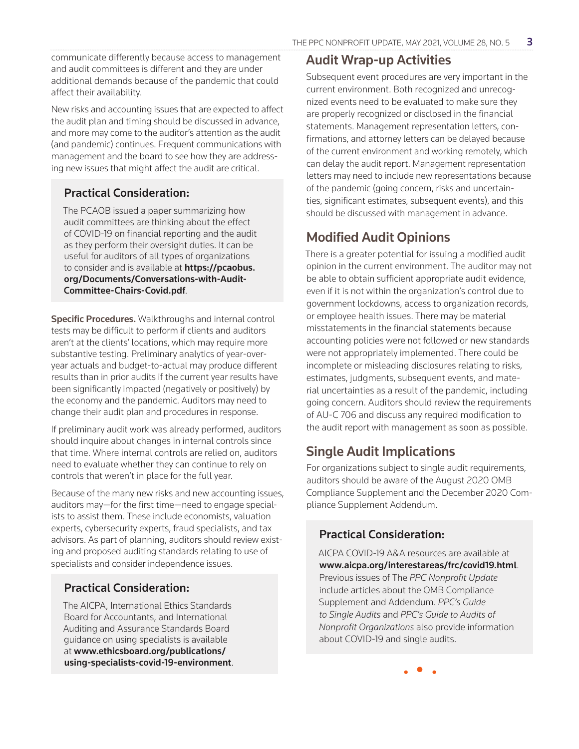communicate differently because access to management and audit committees is different and they are under additional demands because of the pandemic that could affect their availability.

New risks and accounting issues that are expected to affect the audit plan and timing should be discussed in advance, and more may come to the auditor's attention as the audit (and pandemic) continues. Frequent communications with management and the board to see how they are addressing new issues that might affect the audit are critical.

#### Practical Consideration:

The PCAOB issued a paper summarizing how audit committees are thinking about the effect of COVID-19 on financial reporting and the audit as they perform their oversight duties. It can be useful for auditors of all types of organizations to consider and is available at https://pcaobus. org/Documents/Conversations-with-Audit-Committee-Chairs-Covid.pdf.

Specific Procedures. Walkthroughs and internal control tests may be difficult to perform if clients and auditors aren't at the clients' locations, which may require more substantive testing. Preliminary analytics of year-overyear actuals and budget-to-actual may produce different results than in prior audits if the current year results have been significantly impacted (negatively or positively) by the economy and the pandemic. Auditors may need to change their audit plan and procedures in response.

If preliminary audit work was already performed, auditors should inquire about changes in internal controls since that time. Where internal controls are relied on, auditors need to evaluate whether they can continue to rely on controls that weren't in place for the full year.

Because of the many new risks and new accounting issues, auditors may—for the first time—need to engage specialists to assist them. These include economists, valuation experts, cybersecurity experts, fraud specialists, and tax advisors. As part of planning, auditors should review existing and proposed auditing standards relating to use of specialists and consider independence issues.

#### Practical Consideration:

The AICPA, International Ethics Standards Board for Accountants, and International Auditing and Assurance Standards Board guidance on using specialists is available at www.ethicsboard.org/publications/ using-specialists-covid-19-environment.

#### Audit Wrap-up Activities

Subsequent event procedures are very important in the current environment. Both recognized and unrecognized events need to be evaluated to make sure they are properly recognized or disclosed in the financial statements. Management representation letters, confirmations, and attorney letters can be delayed because of the current environment and working remotely, which can delay the audit report. Management representation letters may need to include new representations because of the pandemic (going concern, risks and uncertainties, significant estimates, subsequent events), and this should be discussed with management in advance.

### Modified Audit Opinions

There is a greater potential for issuing a modified audit opinion in the current environment. The auditor may not be able to obtain sufficient appropriate audit evidence, even if it is not within the organization's control due to government lockdowns, access to organization records, or employee health issues. There may be material misstatements in the financial statements because accounting policies were not followed or new standards were not appropriately implemented. There could be incomplete or misleading disclosures relating to risks, estimates, judgments, subsequent events, and material uncertainties as a result of the pandemic, including going concern. Auditors should review the requirements of AU-C 706 and discuss any required modification to the audit report with management as soon as possible.

### Single Audit Implications

For organizations subject to single audit requirements, auditors should be aware of the August 2020 OMB Compliance Supplement and the December 2020 Compliance Supplement Addendum.

#### Practical Consideration:

AICPA COVID-19 A&A resources are available at www.aicpa.org/interestareas/frc/covid19.html. Previous issues of The *PPC Nonprofit Update* include articles about the OMB Compliance Supplement and Addendum. *PPC's Guide to Single Audits* and *PPC's Guide to Audits of Nonprofit Organizations* also provide information about COVID-19 and single audits.

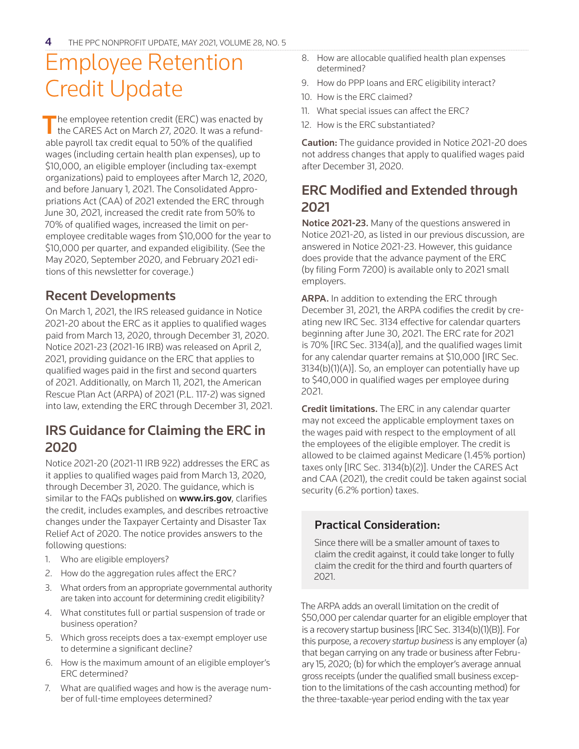## Employee Retention Credit Update

The employee retention credit (ERC) was enacted by the CARES Act on March 27, 2020. It was a refundable payroll tax credit equal to 50% of the qualified wages (including certain health plan expenses), up to \$10,000, an eligible employer (including tax-exempt organizations) paid to employees after March 12, 2020, and before January 1, 2021. The Consolidated Appropriations Act (CAA) of 2021 extended the ERC through June 30, 2021, increased the credit rate from 50% to 70% of qualified wages, increased the limit on peremployee creditable wages from \$10,000 for the year to \$10,000 per quarter, and expanded eligibility. (See the May 2020, September 2020, and February 2021 editions of this newsletter for coverage.)

#### Recent Developments

On March 1, 2021, the IRS released guidance in Notice 2021-20 about the ERC as it applies to qualified wages paid from March 13, 2020, through December 31, 2020. Notice 2021-23 (2021-16 IRB) was released on April 2, 2021, providing guidance on the ERC that applies to qualified wages paid in the first and second quarters of 2021. Additionally, on March 11, 2021, the American Rescue Plan Act (ARPA) of 2021 (P.L. 117-2) was signed into law, extending the ERC through December 31, 2021.

### IRS Guidance for Claiming the ERC in 2020

Notice 2021-20 (2021-11 IRB 922) addresses the ERC as it applies to qualified wages paid from March 13, 2020, through December 31, 2020. The guidance, which is similar to the FAQs published on www.irs.gov, clarifies the credit, includes examples, and describes retroactive changes under the Taxpayer Certainty and Disaster Tax Relief Act of 2020. The notice provides answers to the following questions:

- 1. Who are eligible employers?
- 2. How do the aggregation rules affect the ERC?
- 3. What orders from an appropriate governmental authority are taken into account for determining credit eligibility?
- 4. What constitutes full or partial suspension of trade or business operation?
- 5. Which gross receipts does a tax-exempt employer use to determine a significant decline?
- 6. How is the maximum amount of an eligible employer's ERC determined?
- 7. What are qualified wages and how is the average number of full-time employees determined?
- 8. How are allocable qualified health plan expenses determined?
- 9. How do PPP loans and ERC eligibility interact?
- 10. How is the ERC claimed?
- 11. What special issues can affect the ERC?
- 12. How is the ERC substantiated?

**Caution:** The guidance provided in Notice 2021-20 does not address changes that apply to qualified wages paid after December 31, 2020.

### ERC Modified and Extended through 2021

Notice 2021-23. Many of the questions answered in Notice 2021-20, as listed in our previous discussion, are answered in Notice 2021-23. However, this guidance does provide that the advance payment of the ERC (by filing Form 7200) is available only to 2021 small employers.

ARPA. In addition to extending the ERC through December 31, 2021, the ARPA codifies the credit by creating new IRC Sec. 3134 effective for calendar quarters beginning after June 30, 2021. The ERC rate for 2021 is 70% [IRC Sec. 3134(a)], and the qualified wages limit for any calendar quarter remains at \$10,000 [IRC Sec. 3134(b)(1)(A)]. So, an employer can potentially have up to \$40,000 in qualified wages per employee during 2021.

Credit limitations. The ERC in any calendar quarter may not exceed the applicable employment taxes on the wages paid with respect to the employment of all the employees of the eligible employer. The credit is allowed to be claimed against Medicare (1.45% portion) taxes only [IRC Sec. 3134(b)(2)]. Under the CARES Act and CAA (2021), the credit could be taken against social security (6.2% portion) taxes.

#### Practical Consideration:

Since there will be a smaller amount of taxes to claim the credit against, it could take longer to fully claim the credit for the third and fourth quarters of 2021.

The ARPA adds an overall limitation on the credit of \$50,000 per calendar quarter for an eligible employer that is a recovery startup business [IRC Sec. 3134(b)(1)(B)]. For this purpose, a *recovery startup business* is any employer (a) that began carrying on any trade or business after February 15, 2020; (b) for which the employer's average annual gross receipts (under the qualified small business exception to the limitations of the cash accounting method) for the three-taxable-year period ending with the tax year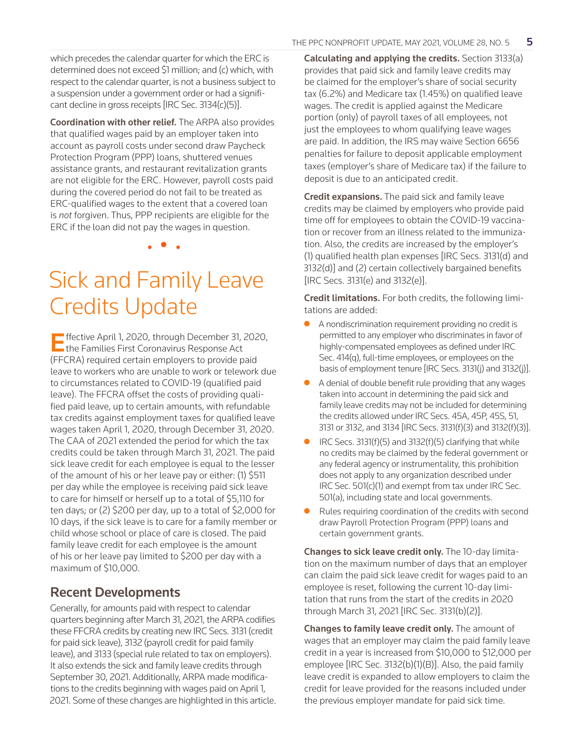a suspension under a government order or had a significant decline in gross receipts [IRC Sec. 3134(c)(5)]. Coordination with other relief. The ARPA also provides that qualified wages paid by an employer taken into account as payroll costs under second draw Paycheck

Protection Program (PPP) loans, shuttered venues assistance grants, and restaurant revitalization grants are not eligible for the ERC. However, payroll costs paid during the covered period do not fail to be treated as ERC-qualified wages to the extent that a covered loan is *not* forgiven. Thus, PPP recipients are eligible for the ERC if the loan did not pay the wages in question.

• • •

## Sick and Family Leave Credits Update

Effective April 1, 2020, through December 31, 2020, the Families First Coronavirus Response Act (FFCRA) required certain employers to provide paid leave to workers who are unable to work or telework due to circumstances related to COVID-19 (qualified paid leave). The FFCRA offset the costs of providing qualified paid leave, up to certain amounts, with refundable tax credits against employment taxes for qualified leave wages taken April 1, 2020, through December 31, 2020. The CAA of 2021 extended the period for which the tax credits could be taken through March 31, 2021. The paid sick leave credit for each employee is equal to the lesser of the amount of his or her leave pay or either: (1) \$511 per day while the employee is receiving paid sick leave to care for himself or herself up to a total of \$5,110 for ten days; or (2) \$200 per day, up to a total of \$2,000 for 10 days, if the sick leave is to care for a family member or child whose school or place of care is closed. The paid family leave credit for each employee is the amount of his or her leave pay limited to \$200 per day with a maximum of \$10,000.

### Recent Developments

Generally, for amounts paid with respect to calendar quarters beginning after March 31, 2021, the ARPA codifies these FFCRA credits by creating new IRC Secs. 3131 (credit for paid sick leave), 3132 (payroll credit for paid family leave), and 3133 (special rule related to tax on employers). It also extends the sick and family leave credits through September 30, 2021. Additionally, ARPA made modifications to the credits beginning with wages paid on April 1, 2021. Some of these changes are highlighted in this article. Calculating and applying the credits. Section 3133(a) provides that paid sick and family leave credits may be claimed for the employer's share of social security tax (6.2%) and Medicare tax (1.45%) on qualified leave wages. The credit is applied against the Medicare portion (only) of payroll taxes of all employees, not just the employees to whom qualifying leave wages are paid. In addition, the IRS may waive Section 6656 penalties for failure to deposit applicable employment taxes (employer's share of Medicare tax) if the failure to deposit is due to an anticipated credit.

**Credit expansions.** The paid sick and family leave credits may be claimed by employers who provide paid time off for employees to obtain the COVID-19 vaccination or recover from an illness related to the immunization. Also, the credits are increased by the employer's (1) qualified health plan expenses [IRC Secs. 3131(d) and 3132(d)] and (2) certain collectively bargained benefits [IRC Secs. 3131(e) and 3132(e)].

Credit limitations. For both credits, the following limitations are added:

- A nondiscrimination requirement providing no credit is permitted to any employer who discriminates in favor of highly-compensated employees as defined under IRC Sec. 414(q), full-time employees, or employees on the basis of employment tenure [IRC Secs. 3131(j) and 3132(j)].
- $\bullet$  A denial of double benefit rule providing that any wages taken into account in determining the paid sick and family leave credits may not be included for determining the credits allowed under IRC Secs. 45A, 45P, 45S, 51, 3131 or 3132, and 3134 [IRC Secs. 3131(f)(3) and 3132(f)(3)].
- $\bullet$  IRC Secs. 3131(f)(5) and 3132(f)(5) clarifying that while no credits may be claimed by the federal government or any federal agency or instrumentality, this prohibition does not apply to any organization described under IRC Sec. 501(c)(1) and exempt from tax under IRC Sec. 501(a), including state and local governments.
- Rules requiring coordination of the credits with second draw Payroll Protection Program (PPP) loans and certain government grants.

Changes to sick leave credit only. The 10-day limitation on the maximum number of days that an employer can claim the paid sick leave credit for wages paid to an employee is reset, following the current 10-day limitation that runs from the start of the credits in 2020 through March 31, 2021 [IRC Sec. 3131(b)(2)].

Changes to family leave credit only. The amount of wages that an employer may claim the paid family leave credit in a year is increased from \$10,000 to \$12,000 per employee [IRC Sec. 3132(b)(1)(B)]. Also, the paid family leave credit is expanded to allow employers to claim the credit for leave provided for the reasons included under the previous employer mandate for paid sick time.